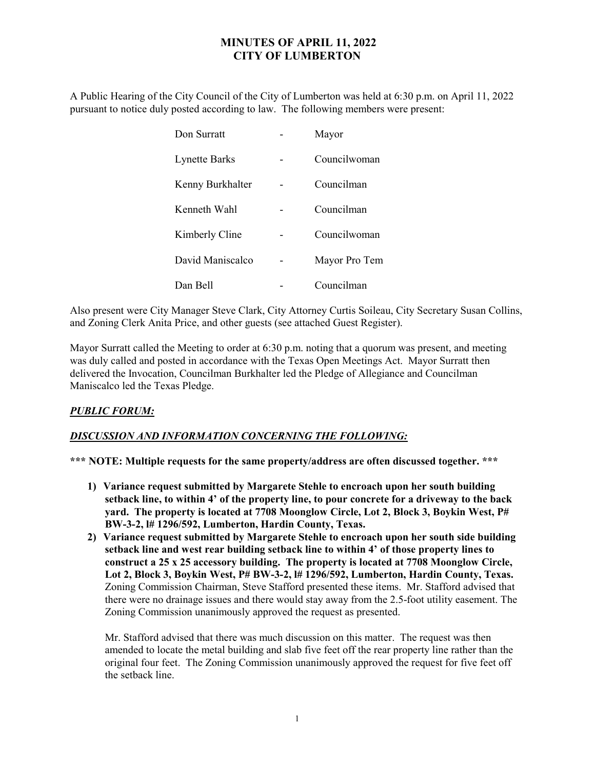## MINUTES OF APRIL 11, 2022 CITY OF LUMBERTON

A Public Hearing of the City Council of the City of Lumberton was held at 6:30 p.m. on April 11, 2022 pursuant to notice duly posted according to law. The following members were present:

| Don Surratt          | Mayor         |
|----------------------|---------------|
| <b>Lynette Barks</b> | Councilwoman  |
| Kenny Burkhalter     | Councilman    |
| Kenneth Wahl         | Councilman    |
| Kimberly Cline       | Councilwoman  |
| David Maniscalco     | Mayor Pro Tem |
| Dan Bell             | Councilman    |

Also present were City Manager Steve Clark, City Attorney Curtis Soileau, City Secretary Susan Collins, and Zoning Clerk Anita Price, and other guests (see attached Guest Register).

Mayor Surratt called the Meeting to order at 6:30 p.m. noting that a quorum was present, and meeting was duly called and posted in accordance with the Texas Open Meetings Act. Mayor Surratt then delivered the Invocation, Councilman Burkhalter led the Pledge of Allegiance and Councilman Maniscalco led the Texas Pledge.

## PUBLIC FORUM:

## DISCUSSION AND INFORMATION CONCERNING THE FOLLOWING:

\*\*\* NOTE: Multiple requests for the same property/address are often discussed together. \*\*\*

- 1) Variance request submitted by Margarete Stehle to encroach upon her south building setback line, to within 4' of the property line, to pour concrete for a driveway to the back yard. The property is located at 7708 Moonglow Circle, Lot 2, Block 3, Boykin West, P# BW-3-2, l# 1296/592, Lumberton, Hardin County, Texas.
- 2) Variance request submitted by Margarete Stehle to encroach upon her south side building setback line and west rear building setback line to within 4' of those property lines to construct a 25 x 25 accessory building. The property is located at 7708 Moonglow Circle, Lot 2, Block 3, Boykin West, P# BW-3-2, l# 1296/592, Lumberton, Hardin County, Texas. Zoning Commission Chairman, Steve Stafford presented these items. Mr. Stafford advised that there were no drainage issues and there would stay away from the 2.5-foot utility easement. The Zoning Commission unanimously approved the request as presented.

Mr. Stafford advised that there was much discussion on this matter. The request was then amended to locate the metal building and slab five feet off the rear property line rather than the original four feet. The Zoning Commission unanimously approved the request for five feet off the setback line.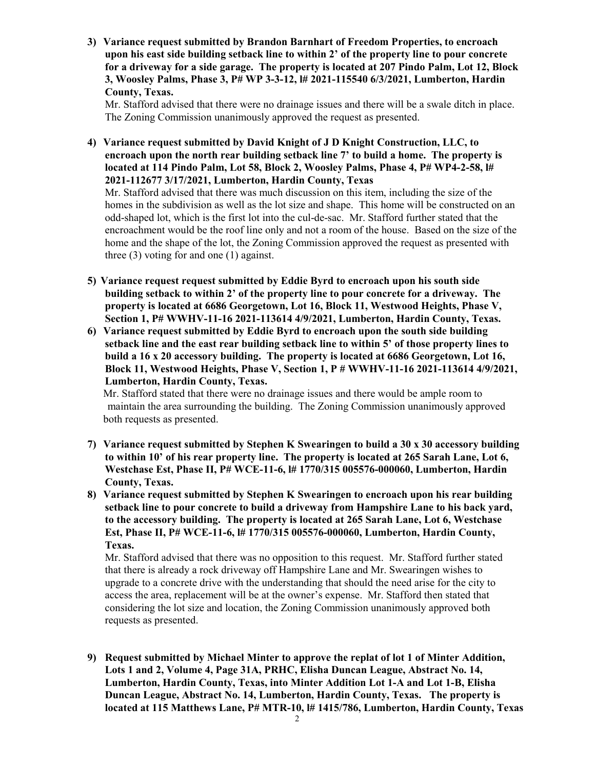3) Variance request submitted by Brandon Barnhart of Freedom Properties, to encroach upon his east side building setback line to within 2' of the property line to pour concrete for a driveway for a side garage. The property is located at 207 Pindo Palm, Lot 12, Block 3, Woosley Palms, Phase 3, P# WP 3-3-12, l# 2021-115540 6/3/2021, Lumberton, Hardin County, Texas.

Mr. Stafford advised that there were no drainage issues and there will be a swale ditch in place. The Zoning Commission unanimously approved the request as presented.

4) Variance request submitted by David Knight of J D Knight Construction, LLC, to encroach upon the north rear building setback line 7' to build a home. The property is located at 114 Pindo Palm, Lot 58, Block 2, Woosley Palms, Phase 4, P# WP4-2-58, l# 2021-112677 3/17/2021, Lumberton, Hardin County, Texas

Mr. Stafford advised that there was much discussion on this item, including the size of the homes in the subdivision as well as the lot size and shape. This home will be constructed on an odd-shaped lot, which is the first lot into the cul-de-sac. Mr. Stafford further stated that the encroachment would be the roof line only and not a room of the house. Based on the size of the home and the shape of the lot, the Zoning Commission approved the request as presented with three (3) voting for and one (1) against.

- 5) Variance request request submitted by Eddie Byrd to encroach upon his south side building setback to within 2' of the property line to pour concrete for a driveway. The property is located at 6686 Georgetown, Lot 16, Block 11, Westwood Heights, Phase V, Section 1, P# WWHV-11-16 2021-113614 4/9/2021, Lumberton, Hardin County, Texas.
- 6) Variance request submitted by Eddie Byrd to encroach upon the south side building setback line and the east rear building setback line to within 5' of those property lines to build a 16 x 20 accessory building. The property is located at 6686 Georgetown, Lot 16, Block 11, Westwood Heights, Phase V, Section 1, P # WWHV-11-16 2021-113614 4/9/2021, Lumberton, Hardin County, Texas.

 Mr. Stafford stated that there were no drainage issues and there would be ample room to maintain the area surrounding the building. The Zoning Commission unanimously approved both requests as presented.

- 7) Variance request submitted by Stephen K Swearingen to build a 30 x 30 accessory building to within 10' of his rear property line. The property is located at 265 Sarah Lane, Lot 6, Westchase Est, Phase II, P# WCE-11-6, l# 1770/315 005576-000060, Lumberton, Hardin County, Texas.
- 8) Variance request submitted by Stephen K Swearingen to encroach upon his rear building setback line to pour concrete to build a driveway from Hampshire Lane to his back yard, to the accessory building. The property is located at 265 Sarah Lane, Lot 6, Westchase Est, Phase II, P# WCE-11-6, l# 1770/315 005576-000060, Lumberton, Hardin County, Texas.

Mr. Stafford advised that there was no opposition to this request. Mr. Stafford further stated that there is already a rock driveway off Hampshire Lane and Mr. Swearingen wishes to upgrade to a concrete drive with the understanding that should the need arise for the city to access the area, replacement will be at the owner's expense. Mr. Stafford then stated that considering the lot size and location, the Zoning Commission unanimously approved both requests as presented.

9) Request submitted by Michael Minter to approve the replat of lot 1 of Minter Addition, Lots 1 and 2, Volume 4, Page 31A, PRHC, Elisha Duncan League, Abstract No. 14, Lumberton, Hardin County, Texas, into Minter Addition Lot 1-A and Lot 1-B, Elisha Duncan League, Abstract No. 14, Lumberton, Hardin County, Texas. The property is located at 115 Matthews Lane, P# MTR-10, l# 1415/786, Lumberton, Hardin County, Texas